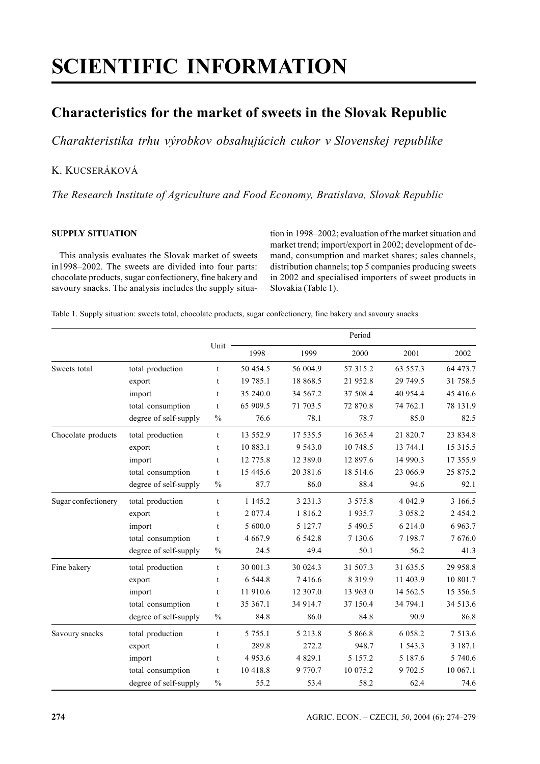# **SCIENTIFIC INFORMATION**

# **Characteristics for the market of sweets in the Slovak Republic**

*Charakteristika trhu výrobkov obsahujúcich cukor v Slovenskej republike*

# K. KUCSERÁKOVÁ

*The Research Institute of Agriculture and Food Economy, Bratislava, Slovak Republic*

# **SUPPLY SITUATION**

This analysis evaluates the Slovak market of sweets in1998–2002. The sweets are divided into four parts: chocolate products, sugar confectionery, fine bakery and savoury snacks. The analysis includes the supply situation in 1998–2002; evaluation of the market situation and market trend; import/export in 2002; development of demand, consumption and market shares; sales channels, distribution channels; top 5 companies producing sweets in 2002 and specialised importers of sweet products in Slovakia (Table 1).

Table 1. Supply situation: sweets total, chocolate products, sugar confectionery, fine bakery and savoury snacks

|                     |                       | Unit          |             |             |             |            |            |
|---------------------|-----------------------|---------------|-------------|-------------|-------------|------------|------------|
|                     |                       |               | 1998        | 1999        | 2000        | 2001       | 2002       |
| Sweets total        | total production      | t             | 50 454.5    | 56 004.9    | 57 315.2    | 63 557.3   | 64 473.7   |
|                     | export                | t             | 19 785.1    | 18 868.5    | 21 952.8    | 29 749.5   | 31 758.5   |
|                     | import                | t             | 35 240.0    | 34 567.2    | 37 508.4    | 40 954.4   | 45 416.6   |
|                     | total consumption     | t             | 65 909.5    | 71 703.5    | 72 870.8    | 74 762.1   | 78 131.9   |
|                     | degree of self-supply | $\%$          | 76.6        | 78.1        | 78.7        | 85.0       | 82.5       |
| Chocolate products  | total production      | t             | 13 552.9    | 17 535.5    | 16 365.4    | 21 820.7   | 23 834.8   |
|                     | export                | t             | 10 883.1    | 9 5 4 3 .0  | 10 748.5    | 13 744.1   | 15 3 15 .5 |
|                     | import                | t             | 12 775.8    | 12 389.0    | 12 897.6    | 14 990.3   | 17 355.9   |
|                     | total consumption     | t             | 15 445.6    | 20 381.6    | 18 5 14.6   | 23 066.9   | 25 875.2   |
|                     | degree of self-supply | $\frac{0}{0}$ | 87.7        | 86.0        | 88.4        | 94.6       | 92.1       |
| Sugar confectionery | total production      | $\mathbf t$   | 1 1 4 5 .2  | 3 2 3 1 . 3 | 3 5 7 5 .8  | 4 042.9    | 3 166.5    |
|                     | export                | t             | 2 077.4     | 1 816.2     | 1935.7      | 3 0 5 8 .2 | 2 4 5 4 .2 |
|                     | import                | t             | 5 600.0     | 5 127.7     | 5 490.5     | 6 214.0    | 6 9 63.7   |
|                     | total consumption     | t             | 4 6 6 7 . 9 | 6 542.8     | 7 130.6     | 7 198.7    | 7676.0     |
|                     | degree of self-supply | $\%$          | 24.5        | 49.4        | 50.1        | 56.2       | 41.3       |
| Fine bakery         | total production      | t             | 30 001.3    | 30 024.3    | 31 507.3    | 31 635.5   | 29 958.8   |
|                     | export                | t             | 6 544.8     | 7416.6      | 8 3 1 9 . 9 | 11 403.9   | 10 801.7   |
|                     | import                | t             | 11 910.6    | 12 307.0    | 13 963.0    | 14 5 62.5  | 15 356.5   |
|                     | total consumption     | t             | 35 367.1    | 34 914.7    | 37 150.4    | 34 794.1   | 34 513.6   |
|                     | degree of self-supply | $\frac{0}{0}$ | 84.8        | 86.0        | 84.8        | 90.9       | 86.8       |
| Savoury snacks      | total production      | t             | 5 7 5 5 .1  | 5 213.8     | 5 866.8     | 6 0 5 8 .2 | 7 5 1 3 .6 |
|                     | export                | t             | 289.8       | 272.2       | 948.7       | 1 543.3    | 3 187.1    |
|                     | import                | t             | 4 9 5 3 . 6 | 4 8 29.1    | 5 1 5 7 . 2 | 5 187.6    | 5 740.6    |
|                     | total consumption     | t             | 10 418.8    | 9 770.7     | 10 075.2    | 9 702.5    | 10 067.1   |
|                     | degree of self-supply | $\frac{0}{0}$ | 55.2        | 53.4        | 58.2        | 62.4       | 74.6       |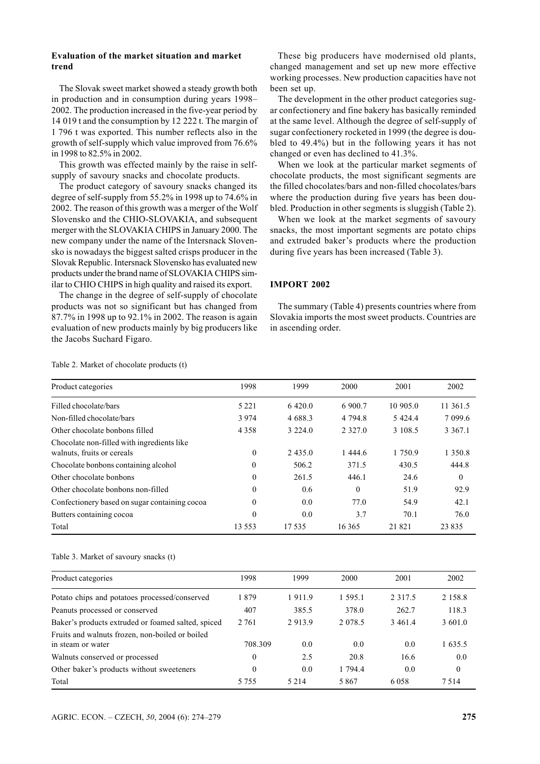# **Evaluation of the market situation and market trend**

The Slovak sweet market showed a steady growth both in production and in consumption during years 1998– 2002. The production increased in the five-year period by 14 019 t and the consumption by 12 222 t. The margin of 1 796 t was exported. This number reflects also in the growth of self-supply which value improved from 76.6% in 1998 to 82.5% in 2002.

This growth was effected mainly by the raise in selfsupply of savoury snacks and chocolate products.

The product category of savoury snacks changed its degree of self-supply from 55.2% in 1998 up to 74.6% in 2002. The reason of this growth was a merger of the Wolf Slovensko and the CHIO-SLOVAKIA, and subsequent merger with the SLOVAKIA CHIPS in January 2000. The new company under the name of the Intersnack Slovensko is nowadays the biggest salted crisps producer in the Slovak Republic. Intersnack Slovensko has evaluated new products under the brand name of SLOVAKIA CHIPS similar to CHIO CHIPS in high quality and raised its export.

The change in the degree of self-supply of chocolate products was not so significant but has changed from 87.7% in 1998 up to 92.1% in 2002. The reason is again evaluation of new products mainly by big producers like the Jacobs Suchard Figaro.

These big producers have modernised old plants, changed management and set up new more effective working processes. New production capacities have not been set up.

The development in the other product categories sugar confectionery and fine bakery has basically reminded at the same level. Although the degree of self-supply of sugar confectionery rocketed in 1999 (the degree is doubled to 49.4%) but in the following years it has not changed or even has declined to 41.3%.

When we look at the particular market segments of chocolate products, the most significant segments are the filled chocolates/bars and non-filled chocolates/bars where the production during five years has been doubled. Production in other segments is sluggish (Table 2).

When we look at the market segments of savoury snacks, the most important segments are potato chips and extruded baker's products where the production during five years has been increased (Table 3).

# **IMPORT 2002**

The summary (Table 4) presents countries where from Slovakia imports the most sweet products. Countries are in ascending order.

| Product categories                                                       | 1998     | 1999       | 2000      | 2001      | 2002       |
|--------------------------------------------------------------------------|----------|------------|-----------|-----------|------------|
| Filled chocolate/bars                                                    | 5 2 2 1  | 6.420.0    | 6 900.7   | 10 905.0  | 11 361.5   |
| Non-filled chocolate/bars                                                | 3974     | 4 688.3    | 4 7 9 4 8 | 5 4 2 4 4 | 7 0 9 9.6  |
| Other chocolate bonbons filled                                           | 4 3 5 8  | 3 2 2 4 0  | 2 3 2 7 0 | 3 108.5   | 3 3 6 7 .1 |
| Chocolate non-filled with ingredients like<br>walnuts, fruits or cereals | $\theta$ | 2 4 3 5 .0 | 1 444.6   | 1 750.9   | 1 3 5 0 .8 |
| Chocolate bonbons containing alcohol                                     | $\theta$ | 506.2      | 371.5     | 430.5     | 444.8      |
| Other chocolate bonbons                                                  | $\theta$ | 261.5      | 446.1     | 24.6      | $\theta$   |
| Other chocolate bonbons non-filled                                       | $\theta$ | 0.6        | $\theta$  | 51.9      | 92.9       |
| Confectionery based on sugar containing cocoa                            | $\theta$ | 0.0        | 77.0      | 54.9      | 42.1       |
| Butters containing cocoa                                                 | $\theta$ | 0.0        | 3.7       | 70.1      | 76.0       |
| Total                                                                    | 13.553   | 17 535     | 16365     | 21821     | 23835      |

Table 2. Market of chocolate products (t)

Table 3. Market of savoury snacks (t)

| Product categories                                                   | 1998     | 1999    | 2000       | 2001       | 2002       |
|----------------------------------------------------------------------|----------|---------|------------|------------|------------|
| Potato chips and potatoes processed/conserved                        | 1879     | 1911.9  | 1.595.1    | 2 3 1 7 .5 | 2 1 5 8 .8 |
| Peanuts processed or conserved                                       | 407      | 385.5   | 378.0      | 262.7      | 118.3      |
| Baker's products extruded or foamed salted, spiced                   | 2 7 6 1  | 2913.9  | 2 0 7 8 .5 | 3461.4     | 3 601.0    |
| Fruits and walnuts frozen, non-boiled or boiled<br>in steam or water | 708.309  | 0.0     | 0.0        | 0.0        | 1 635.5    |
| Walnuts conserved or processed                                       | $\Omega$ | 2.5     | 20.8       | 16.6       | 0.0        |
| Other baker's products without sweeteners                            | $\theta$ | 0.0     | 1 794.4    | 0.0        | $\theta$   |
| Total                                                                | 5 7 5 5  | 5 2 1 4 | 5867       | 6058       | 7514       |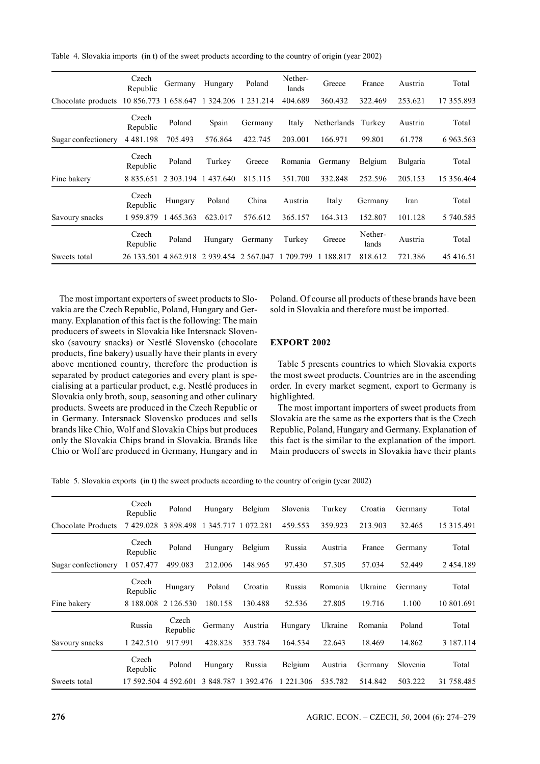Table 4. Slovakia imports (in t) of the sweet products according to the country of origin (year 2002)

|                     | Czech<br>Republic | Germany                   | Hungary             | Poland        | Nether-<br>lands | Greece      | France           | Austria         | Total      |
|---------------------|-------------------|---------------------------|---------------------|---------------|------------------|-------------|------------------|-----------------|------------|
| Chocolate products  | 10 856.773 1      |                           | 658.647 1 324.206   | 231.214       | 404.689          | 360.432     | 322.469          | 253.621         | 17 355.893 |
|                     | Czech<br>Republic | Poland                    | Spain               | Germany       | Italy            | Netherlands | Turkey           | Austria         | Total      |
| Sugar confectionery | 4 4 8 1 . 1 9 8   | 705.493                   | 576.864             | 422.745       | 203.001          | 166.971     | 99.801           | 61.778          | 6 963.563  |
|                     | Czech<br>Republic | Poland                    | Turkey              | Greece        | Romania          | Germany     | Belgium          | <b>Bulgaria</b> | Total      |
| Fine bakery         | 8 8 3 5 . 6 5 1   |                           | 2 303.194 1 437.640 | 815.115       | 351.700          | 332.848     | 252.596          | 205.153         | 15 356.464 |
|                     | Czech<br>Republic | Hungary                   | Poland              | China         | Austria          | Italy       | Germany          | Iran            | Total      |
| Savoury snacks      | 1959.879          | 465.363                   | 623.017             | 576.612       | 365.157          | 164.313     | 152.807          | 101.128         | 5 740.585  |
|                     | Czech<br>Republic | Poland                    | Hungary             | Germany       | Turkey           | Greece      | Nether-<br>lands | Austria         | Total      |
| Sweets total        | 26 133 501        | 862.918<br>$\overline{4}$ | 2 9 3 9 4 5 4       | 2 5 6 7 .04 7 | 1 709.799        | 1 188.817   | 818.612          | 721.386         | 45 416.51  |

The most important exporters of sweet products to Slovakia are the Czech Republic, Poland, Hungary and Germany. Explanation of this fact is the following: The main producers of sweets in Slovakia like Intersnack Slovensko (savoury snacks) or Nestlé Slovensko (chocolate products, fine bakery) usually have their plants in every above mentioned country, therefore the production is separated by product categories and every plant is specialising at a particular product, e.g. Nestlé produces in Slovakia only broth, soup, seasoning and other culinary products. Sweets are produced in the Czech Republic or in Germany. Intersnack Slovensko produces and sells brands like Chio, Wolf and Slovakia Chips but produces only the Slovakia Chips brand in Slovakia. Brands like Chio or Wolf are produced in Germany, Hungary and in

Poland. Of course all products of these brands have been sold in Slovakia and therefore must be imported.

# **EXPORT 2002**

Table 5 presents countries to which Slovakia exports the most sweet products. Countries are in the ascending order. In every market segment, export to Germany is highlighted.

The most important importers of sweet products from Slovakia are the same as the exporters that is the Czech Republic, Poland, Hungary and Germany. Explanation of this fact is the similar to the explanation of the import. Main producers of sweets in Slovakia have their plants

Table 5. Slovakia exports (in t) the sweet products according to the country of origin (year 2002)

|                     | Czech<br>Republic    | Poland            | Hungary   | Belgium   | Slovenia  | Turkey  | Croatia | Germany  | Total      |
|---------------------|----------------------|-------------------|-----------|-----------|-----------|---------|---------|----------|------------|
| Chocolate Products  | 7429.028             | 3 898.498         | 1 345.717 | 1 072 281 | 459.553   | 359.923 | 213.903 | 32.465   | 15 315.491 |
|                     | Czech<br>Republic    | Poland            | Hungary   | Belgium   | Russia    | Austria | France  | Germany  | Total      |
| Sugar confectionery | 1 057.477            | 499.083           | 212.006   | 148.965   | 97.430    | 57.305  | 57.034  | 52.449   | 2 454.189  |
|                     | Czech<br>Republic    | Hungary           | Poland    | Croatia   | Russia    | Romania | Ukraine | Germany  | Total      |
| Fine bakery         | 8 188,008            | 2 126.530         | 180.158   | 130.488   | 52.536    | 27.805  | 19.716  | 1.100    | 10 801.691 |
|                     | Russia               | Czech<br>Republic | Germany   | Austria   | Hungary   | Ukraine | Romania | Poland   | Total      |
| Savoury snacks      | 1 242.510            | 917.991           | 428.828   | 353.784   | 164.534   | 22.643  | 18.469  | 14.862   | 3 187.114  |
|                     | Czech<br>Republic    | Poland            | Hungary   | Russia    | Belgium   | Austria | Germany | Slovenia | Total      |
| Sweets total        | 17 592.504 4 592.601 |                   | 3 848.787 | 1 392.476 | 1 221.306 | 535.782 | 514.842 | 503.222  | 31 758.485 |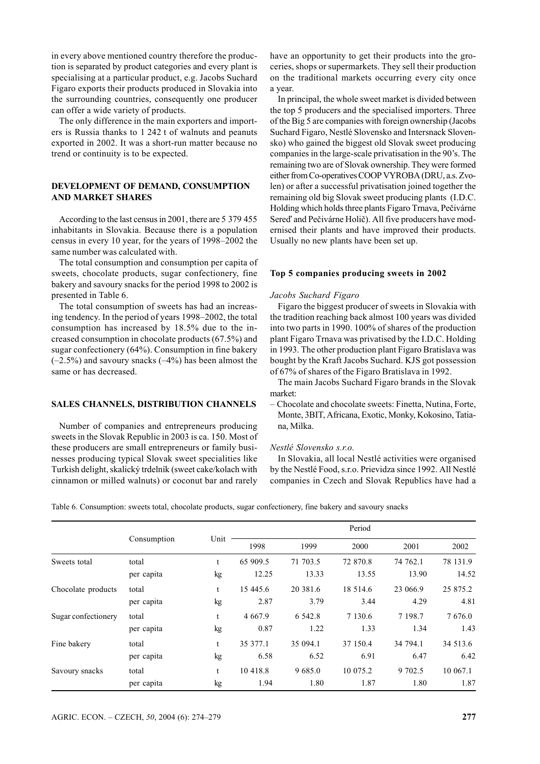in every above mentioned country therefore the production is separated by product categories and every plant is specialising at a particular product, e.g. Jacobs Suchard Figaro exports their products produced in Slovakia into the surrounding countries, consequently one producer can offer a wide variety of products.

The only difference in the main exporters and importers is Russia thanks to 1 242 t of walnuts and peanuts exported in 2002. It was a short-run matter because no trend or continuity is to be expected.

# **DEVELOPMENT OF DEMAND, CONSUMPTION AND MARKET SHARES**

According to the last census in 2001, there are 5 379 455 inhabitants in Slovakia. Because there is a population census in every 10 year, for the years of 1998–2002 the same number was calculated with.

The total consumption and consumption per capita of sweets, chocolate products, sugar confectionery, fine bakery and savoury snacks for the period 1998 to 2002 is presented in Table 6.

The total consumption of sweets has had an increasing tendency. In the period of years 1998–2002, the total consumption has increased by 18.5% due to the increased consumption in chocolate products (67.5%) and sugar confectionery (64%). Consumption in fine bakery  $(-2.5\%)$  and savoury snacks  $(-4\%)$  has been almost the same or has decreased.

#### **SALES CHANNELS, DISTRIBUTION CHANNELS**

Number of companies and entrepreneurs producing sweets in the Slovak Republic in 2003 is ca. 150. Most of these producers are small entrepreneurs or family businesses producing typical Slovak sweet specialities like Turkish delight, skalický trdelník (sweet cake/kolach with cinnamon or milled walnuts) or coconut bar and rarely

have an opportunity to get their products into the groceries, shops or supermarkets. They sell their production on the traditional markets occurring every city once a year.

In principal, the whole sweet market is divided between the top 5 producers and the specialised importers. Three of the Big 5 are companies with foreign ownership (Jacobs Suchard Figaro, Nestlé Slovensko and Intersnack Slovensko) who gained the biggest old Slovak sweet producing companies in the large-scale privatisation in the 90's. The remaining two are of Slovak ownership. They were formed either from Co-operatives COOP VYROBA (DRU, a.s. Zvolen) or after a successful privatisation joined together the remaining old big Slovak sweet producing plants (I.D.C. Holding which holds three plants Figaro Trnava, Pečivárne Sereď and Pečivárne Holič). All five producers have modernised their plants and have improved their products. Usually no new plants have been set up.

#### **Top 5 companies producing sweets in 2002**

#### *Jacobs Suchard Figaro*

Figaro the biggest producer of sweets in Slovakia with the tradition reaching back almost 100 years was divided into two parts in 1990. 100% of shares of the production plant Figaro Trnava was privatised by the I.D.C. Holding in 1993. The other production plant Figaro Bratislava was bought by the Kraft Jacobs Suchard. KJS got possession of 67% of shares of the Figaro Bratislava in 1992.

The main Jacobs Suchard Figaro brands in the Slovak market:

– Chocolate and chocolate sweets: Finetta, Nutina, Forte, Monte, 3BIT, Africana, Exotic, Monky, Kokosino, Tatiana, Milka.

#### *Nestlé Slovensko s.r.o.*

In Slovakia, all local Nestlé activities were organised by the Nestlé Food, s.r.o. Prievidza since 1992. All Nestlé companies in Czech and Slovak Republics have had a

Table 6. Consumption: sweets total, chocolate products, sugar confectionery, fine bakery and savoury snacks

|                     |             |      | Period     |             |             |            |            |  |
|---------------------|-------------|------|------------|-------------|-------------|------------|------------|--|
|                     | Consumption | Unit | 1998       | 1999        | 2000        | 2001       | 2002       |  |
| Sweets total        | total       | t    | 65 909.5   | 71 703.5    | 72 870.8    | 74 762.1   | 78 131.9   |  |
|                     | per capita  | kg   | 12.25      | 13.33       | 13.55       | 13.90      | 14.52      |  |
| Chocolate products  | total       | t    | 15 445.6   | 20 381.6    | 18 5 14 .6  | 23 066.9   | 25 875.2   |  |
|                     | per capita  | kg   | 2.87       | 3.79        | 3.44        | 4.29       | 4.81       |  |
| Sugar confectionery | total       | t    | 4 6 6 7 .9 | 6 5 4 2 . 8 | 7 1 3 0 . 6 | 7 1 9 8 .7 | 7 6 7 6 .0 |  |
|                     | per capita  | kg   | 0.87       | 1.22        | 1.33        | 1.34       | 1.43       |  |
| Fine bakery         | total       | t    | 35 377.1   | 35 094.1    | 37 150.4    | 34 794.1   | 34 513.6   |  |
|                     | per capita  | kg   | 6.58       | 6.52        | 6.91        | 6.47       | 6.42       |  |
| Savoury snacks      | total       | t    | 10 418.8   | 9685.0      | 10 075.2    | 9 702.5    | 10 067.1   |  |
|                     | per capita  | kg   | 1.94       | 1.80        | 1.87        | 1.80       | 1.87       |  |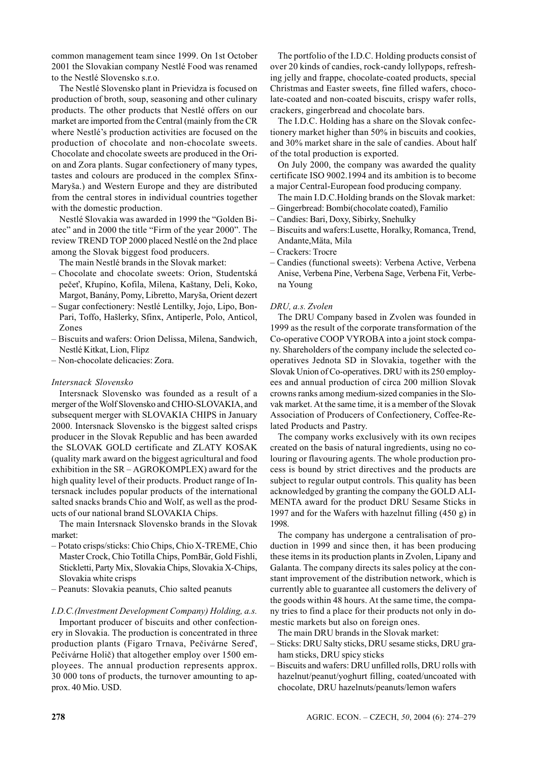common management team since 1999. On 1st October 2001 the Slovakian company Nestlé Food was renamed to the Nestlé Slovensko s.r.o.

The Nestlé Slovensko plant in Prievidza is focused on production of broth, soup, seasoning and other culinary products. The other products that Nestlé offers on our market are imported from the Central (mainly from the CR where Nestlé's production activities are focused on the production of chocolate and non-chocolate sweets. Chocolate and chocolate sweets are produced in the Orion and Zora plants. Sugar confectionery of many types, tastes and colours are produced in the complex Sfinx-Maryša.) and Western Europe and they are distributed from the central stores in individual countries together with the domestic production.

Nestlé Slovakia was awarded in 1999 the "Golden Biatec" and in 2000 the title "Firm of the year 2000". The review TREND TOP 2000 placed Nestlé on the 2nd place among the Slovak biggest food producers.

The main Nestlé brands in the Slovak market:

- Chocolate and chocolate sweets: Orion, Studentská pečeť, Křupíno, Kofila, Milena, Kaštany, Deli, Koko, Margot, Banány, Pomy, Libretto, Maryša, Orient dezert
- Sugar confectionery: Nestlé Lentilky, Jojo, Lipo, Bon-Pari, Toffo, Hašlerky, Sfinx, Antiperle, Polo, Anticol, Zones
- Biscuits and wafers: Orion Delissa, Milena, Sandwich, Nestlé Kitkat, Lion, Flipz
- Non-chocolate delicacies: Zora.

# *Intersnack Slovensko*

Intersnack Slovensko was founded as a result of a merger of the Wolf Slovensko and CHIO-SLOVAKIA, and subsequent merger with SLOVAKIA CHIPS in January 2000. Intersnack Slovensko is the biggest salted crisps producer in the Slovak Republic and has been awarded the SLOVAK GOLD certificate and ZLATY KOSAK (quality mark award on the biggest agricultural and food exhibition in the SR – AGROKOMPLEX) award for the high quality level of their products. Product range of Intersnack includes popular products of the international salted snacks brands Chio and Wolf, as well as the products of our national brand SLOVAKIA Chips.

The main Intersnack Slovensko brands in the Slovak market:

- Potato crisps/sticks: Chio Chips, Chio X-TREME, Chio Master Crock, Chio Totilla Chips, PomBär, Gold Fishli, Stickletti, Party Mix, Slovakia Chips, Slovakia X-Chips, Slovakia white crisps
- Peanuts: Slovakia peanuts, Chio salted peanuts

### *I.D.C.(Investment Development Company) Holding, a.s.*

Important producer of biscuits and other confectionery in Slovakia. The production is concentrated in three production plants (Figaro Trnava, Pečivárne Sereď, Pečivárne Holič) that altogether employ over 1500 employees. The annual production represents approx. 30 000 tons of products, the turnover amounting to approx. 40 Mio. USD.

The portfolio of the I.D.C. Holding products consist of over 20 kinds of candies, rock-candy lollypops, refreshing jelly and frappe, chocolate-coated products, special Christmas and Easter sweets, fine filled wafers, chocolate-coated and non-coated biscuits, crispy wafer rolls, crackers, gingerbread and chocolate bars.

The I.D.C. Holding has a share on the Slovak confectionery market higher than 50% in biscuits and cookies, and 30% market share in the sale of candies. About half of the total production is exported.

On July 2000, the company was awarded the quality certificate ISO 9002.1994 and its ambition is to become a major Central-European food producing company.

The main I.D.C.Holding brands on the Slovak market:

- Gingerbread: Bombi(chocolate coated), Familio
- Candies: Bari, Doxy, Sibirky, Snehulky
- Biscuits and wafers:Lusette, Horalky, Romanca, Trend, Andante,Mäta, Mila
- Crackers: Trocre
- Candies (functional sweets): Verbena Active, Verbena Anise, Verbena Pine, Verbena Sage, Verbena Fit, Verbena Young

#### *DRU, a.s. Zvolen*

The DRU Company based in Zvolen was founded in 1999 as the result of the corporate transformation of the Co-operative COOP VYROBA into a joint stock company. Shareholders of the company include the selected cooperatives Jednota SD in Slovakia, together with the Slovak Union of Co-operatives. DRU with its 250 employees and annual production of circa 200 million Slovak crowns ranks among medium-sized companies in the Slovak market. At the same time, it is a member of the Slovak Association of Producers of Confectionery, Coffee-Related Products and Pastry.

The company works exclusively with its own recipes created on the basis of natural ingredients, using no colouring or flavouring agents. The whole production process is bound by strict directives and the products are subject to regular output controls. This quality has been acknowledged by granting the company the GOLD ALI-MENTA award for the product DRU Sesame Sticks in 1997 and for the Wafers with hazelnut filling (450 g) in 1998.

The company has undergone a centralisation of production in 1999 and since then, it has been producing these items in its production plants in Zvolen, Lipany and Galanta. The company directs its sales policy at the constant improvement of the distribution network, which is currently able to guarantee all customers the delivery of the goods within 48 hours. At the same time, the company tries to find a place for their products not only in domestic markets but also on foreign ones.

- The main DRU brands in the Slovak market:
- Sticks: DRU Salty sticks, DRU sesame sticks, DRU graham sticks, DRU spicy sticks
- Biscuits and wafers: DRU unfilled rolls, DRU rolls with hazelnut/peanut/yoghurt filling, coated/uncoated with chocolate, DRU hazelnuts/peanuts/lemon wafers